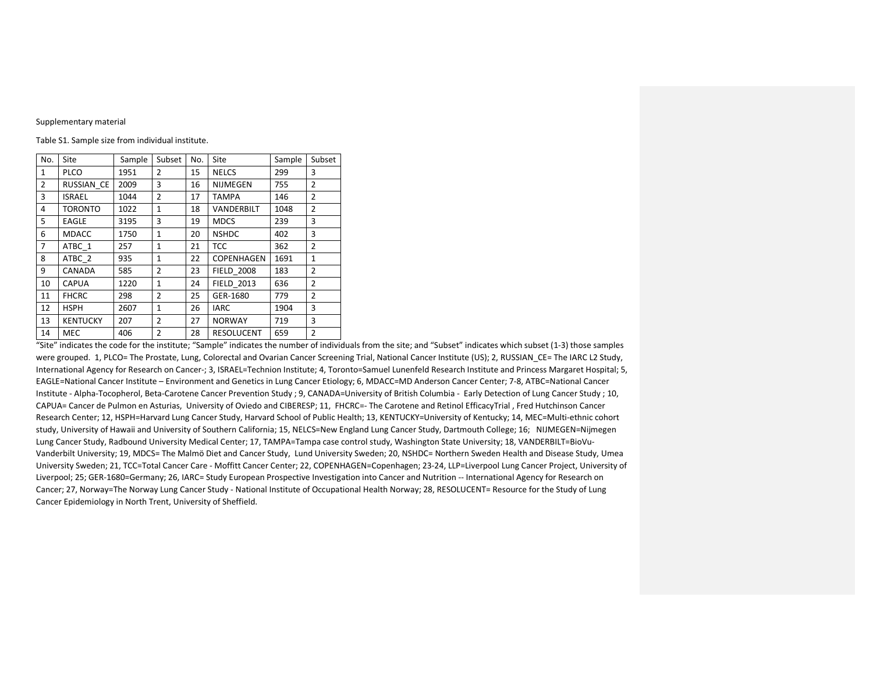## Supplementary material

Table S1. Sample size from individual institute.

| No.          | Site            | Sample | Subset         | No. | Site              | Sample | Subset         |
|--------------|-----------------|--------|----------------|-----|-------------------|--------|----------------|
| $\mathbf{1}$ | <b>PLCO</b>     | 1951   | 2              | 15  | <b>NELCS</b>      | 299    | 3              |
| 2            | RUSSIAN CE      | 2009   | 3              | 16  | <b>NIJMEGEN</b>   | 755    | $\overline{2}$ |
| 3            | <b>ISRAEL</b>   | 1044   | $\overline{2}$ | 17  | <b>TAMPA</b>      | 146    | 2              |
| 4            | <b>TORONTO</b>  | 1022   | 1              | 18  | VANDERBILT        | 1048   | 2              |
| 5            | EAGLE           | 3195   | 3              | 19  | <b>MDCS</b>       | 239    | 3              |
| 6            | <b>MDACC</b>    | 1750   | $\mathbf{1}$   | 20  | <b>NSHDC</b>      | 402    | 3              |
| 7            | ATBC 1          | 257    | 1              | 21  | <b>TCC</b>        | 362    | $\overline{2}$ |
| 8            | ATBC 2          | 935    | $\mathbf{1}$   | 22  | <b>COPENHAGEN</b> | 1691   | $\mathbf{1}$   |
| 9            | CANADA          | 585    | 2              | 23  | <b>FIELD 2008</b> | 183    | 2              |
| 10           | <b>CAPUA</b>    | 1220   | $\mathbf{1}$   | 24  | <b>FIELD 2013</b> | 636    | $\overline{2}$ |
| 11           | <b>FHCRC</b>    | 298    | 2              | 25  | GER-1680          | 779    | $\overline{2}$ |
| 12           | HSPH            | 2607   | $\mathbf{1}$   | 26  | <b>IARC</b>       | 1904   | 3              |
| 13           | <b>KENTUCKY</b> | 207    | 2              | 27  | <b>NORWAY</b>     | 719    | 3              |
| 14           | MEC             | 406    | $\overline{2}$ | 28  | RESOLUCENT        | 659    | $\overline{2}$ |

"Site" indicates the code for the institute; "Sample" indicates the number of individuals from the site; and "Subset" indicates which subset (1-3) those samples were grouped. 1, PLCO= The Prostate, Lung, Colorectal and Ovarian Cancer Screening Trial, National Cancer Institute (US); 2, RUSSIAN CE= The IARC L2 Study, International Agency for Research on Cancer-; 3, ISRAEL=Technion Institute; 4, Toronto=Samuel Lunenfeld Research Institute and Princess Margaret Hospital; 5, EAGLE=National Cancer Institute – Environment and Genetics in Lung Cancer Etiology; 6, MDACC=MD Anderson Cancer Center; 7-8, ATBC=National Cancer Institute - Alpha-Tocopherol, Beta-Carotene Cancer Prevention Study ; 9, CANADA=University of British Columbia - Early Detection of Lung Cancer Study ; 10, CAPUA= Cancer de Pulmon en Asturias, University of Oviedo and CIBERESP; 11, FHCRC=- The Carotene and Retinol EfficacyTrial , Fred Hutchinson Cancer Research Center; 12, HSPH=Harvard Lung Cancer Study, Harvard School of Public Health; 13, KENTUCKY=University of Kentucky; 14, MEC=Multi-ethnic cohort study, University of Hawaii and University of Southern California; 15, NELCS=New England Lung Cancer Study, Dartmouth College; 16; NIJMEGEN=Nijmegen Lung Cancer Study, Radbound University Medical Center; 17, TAMPA=Tampa case control study, Washington State University; 18, VANDERBILT=BioVu-Vanderbilt University; 19, MDCS= The Malmö Diet and Cancer Study, Lund University Sweden; 20, NSHDC= Northern Sweden Health and Disease Study, Umea University Sweden; 21, TCC=Total Cancer Care - Moffitt Cancer Center; 22, COPENHAGEN=Copenhagen; 23-24, LLP=Liverpool Lung Cancer Project, University of Liverpool; 25; GER-1680=Germany; 26, IARC= Study European Prospective Investigation into Cancer and Nutrition -- International Agency for Research on Cancer; 27, Norway=The Norway Lung Cancer Study - National Institute of Occupational Health Norway; 28, RESOLUCENT= Resource for the Study of Lung Cancer Epidemiology in North Trent, University of Sheffield.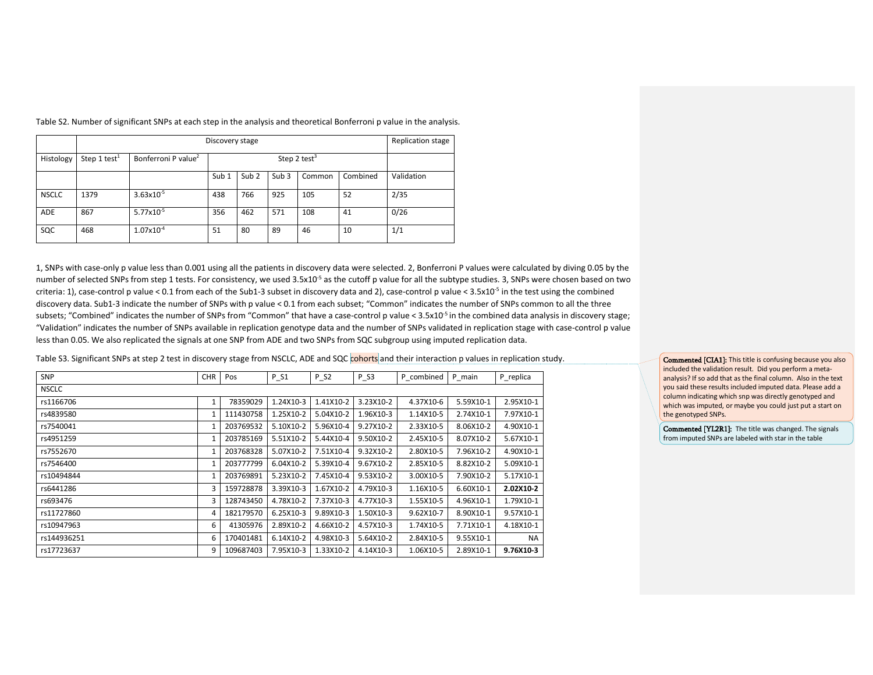|              |                          | Discovery stage                 |                  |                  |                  |        |          |            |  |  |  |  |
|--------------|--------------------------|---------------------------------|------------------|------------------|------------------|--------|----------|------------|--|--|--|--|
| Histology    | Step 1 test <sup>1</sup> | Bonferroni P value <sup>2</sup> |                  |                  |                  |        |          |            |  |  |  |  |
|              |                          |                                 | Sub <sub>1</sub> | Sub <sub>2</sub> | Sub <sub>3</sub> | Common | Combined | Validation |  |  |  |  |
| <b>NSCLC</b> | 1379                     | $3.63x10^{-5}$                  | 438              | 766              | 925              | 105    | 52       | 2/35       |  |  |  |  |
| <b>ADE</b>   | 867                      | $5.77 \times 10^{-5}$           | 356              | 462              | 571              | 108    | 41       | 0/26       |  |  |  |  |
| SQC          | 468                      | $1.07\times10^{-4}$             | 51               | 80               | 89               | 46     | 10       | 1/1        |  |  |  |  |

Table S2. Number of significant SNPs at each step in the analysis and theoretical Bonferroni p value in the analysis.

1, SNPs with case-only p value less than 0.001 using all the patients in discovery data were selected. 2, Bonferroni P values were calculated by diving 0.05 by the number of selected SNPs from step 1 tests. For consistency, we used 3.5x10<sup>-5</sup> as the cutoff p value for all the subtype studies. 3, SNPs were chosen based on two criteria: 1), case-control p value < 0.1 from each of the Sub1-3 subset in discovery data and 2), case-control p value <  $3.5x10^{-5}$  in the test using the combined discovery data. Sub1-3 indicate the number of SNPs with p value < 0.1 from each subset; "Common" indicates the number of SNPs common to all the three subsets; "Combined" indicates the number of SNPs from "Common" that have a case-control p value < 3.5x10<sup>-5</sup> in the combined data analysis in discovery stage; "Validation" indicates the number of SNPs available in replication genotype data and the number of SNPs validated in replication stage with case-control p value less than 0.05. We also replicated the signals at one SNP from ADE and two SNPs from SQC subgroup using imputed replication data.

Table S3. Significant SNPs at step 2 test in discovery stage from NSCLC, ADE and SQC cohorts and their interaction p values in replication study.

| <b>SNP</b>   | <b>CHR</b> | Pos       | $P_S1$    | $P_S2$    | $P$ _S3   | P combined | P_main    | P replica |
|--------------|------------|-----------|-----------|-----------|-----------|------------|-----------|-----------|
| <b>NSCLC</b> |            |           |           |           |           |            |           |           |
| rs1166706    | 1          | 78359029  | 1.24X10-3 | 1.41X10-2 | 3.23X10-2 | 4.37X10-6  | 5.59X10-1 | 2.95X10-1 |
| rs4839580    |            | 111430758 | 1.25X10-2 | 5.04X10-2 | 1.96X10-3 | 1.14X10-5  | 2.74X10-1 | 7.97X10-1 |
| rs7540041    |            | 203769532 | 5.10X10-2 | 5.96X10-4 | 9.27X10-2 | 2.33X10-5  | 8.06X10-2 | 4.90X10-1 |
| rs4951259    |            | 203785169 | 5.51X10-2 | 5.44X10-4 | 9.50X10-2 | 2.45X10-5  | 8.07X10-2 | 5.67X10-1 |
| rs7552670    | 1          | 203768328 | 5.07X10-2 | 7.51X10-4 | 9.32X10-2 | 2.80X10-5  | 7.96X10-2 | 4.90X10-1 |
| rs7546400    |            | 203777799 | 6.04X10-2 | 5.39X10-4 | 9.67X10-2 | 2.85X10-5  | 8.82X10-2 | 5.09X10-1 |
| rs10494844   |            | 203769891 | 5.23X10-2 | 7.45X10-4 | 9.53X10-2 | 3.00X10-5  | 7.90X10-2 | 5.17X10-1 |
| rs6441286    | 3          | 159728878 | 3.39X10-3 | 1.67X10-2 | 4.79X10-3 | 1.16X10-5  | 6.60X10-1 | 2.02X10-2 |
| rs693476     | 3          | 128743450 | 4.78X10-2 | 7.37X10-3 | 4.77X10-3 | 1.55X10-5  | 4.96X10-1 | 1.79X10-1 |
| rs11727860   | 4          | 182179570 | 6.25X10-3 | 9.89X10-3 | 1.50X10-3 | 9.62X10-7  | 8.90X10-1 | 9.57X10-1 |
| rs10947963   | 6          | 41305976  | 2.89X10-2 | 4.66X10-2 | 4.57X10-3 | 1.74X10-5  | 7.71X10-1 | 4.18X10-1 |
| rs144936251  | 6          | 170401481 | 6.14X10-2 | 4.98X10-3 | 5.64X10-2 | 2.84X10-5  | 9.55X10-1 | <b>NA</b> |
| rs17723637   | 9          | 109687403 | 7.95X10-3 | 1.33X10-2 | 4.14X10-3 | 1.06X10-5  | 2.89X10-1 | 9.76X10-3 |

Commented [CIA1]: This title is confusing because you also included the validation result. Did you perform a metaanalysis? If so add that as the final column. Also in the text you said these results included imputed data. Please add a column indicating which snp was directly genotyped and which was imputed, or maybe you could just put a start on the genotyped SNPs.

Commented [YL2R1]: The title was changed. The signals from imputed SNPs are labeled with star in the table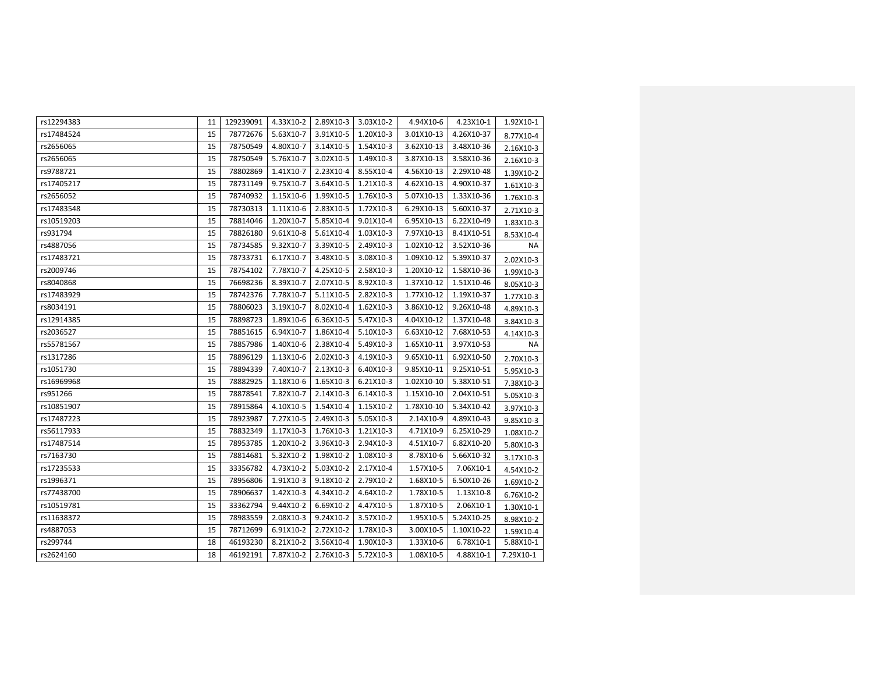| rs12294383 | 11 | 129239091 | 4.33X10-2 | 2.89X10-3 | 3.03X10-2 | 4.94X10-6  | 4.23X10-1  | 1.92X10-1 |
|------------|----|-----------|-----------|-----------|-----------|------------|------------|-----------|
| rs17484524 | 15 | 78772676  | 5.63X10-7 | 3.91X10-5 | 1.20X10-3 | 3.01X10-13 | 4.26X10-37 | 8.77X10-4 |
| rs2656065  | 15 | 78750549  | 4.80X10-7 | 3.14X10-5 | 1.54X10-3 | 3.62X10-13 | 3.48X10-36 | 2.16X10-3 |
| rs2656065  | 15 | 78750549  | 5.76X10-7 | 3.02X10-5 | 1.49X10-3 | 3.87X10-13 | 3.58X10-36 | 2.16X10-3 |
| rs9788721  | 15 | 78802869  | 1.41X10-7 | 2.23X10-4 | 8.55X10-4 | 4.56X10-13 | 2.29X10-48 | 1.39X10-2 |
| rs17405217 | 15 | 78731149  | 9.75X10-7 | 3.64X10-5 | 1.21X10-3 | 4.62X10-13 | 4.90X10-37 | 1.61X10-3 |
| rs2656052  | 15 | 78740932  | 1.15X10-6 | 1.99X10-5 | 1.76X10-3 | 5.07X10-13 | 1.33X10-36 | 1.76X10-3 |
| rs17483548 | 15 | 78730313  | 1.11X10-6 | 2.83X10-5 | 1.72X10-3 | 6.29X10-13 | 5.60X10-37 | 2.71X10-3 |
| rs10519203 | 15 | 78814046  | 1.20X10-7 | 5.85X10-4 | 9.01X10-4 | 6.95X10-13 | 6.22X10-49 | 1.83X10-3 |
| rs931794   | 15 | 78826180  | 9.61X10-8 | 5.61X10-4 | 1.03X10-3 | 7.97X10-13 | 8.41X10-51 | 8.53X10-4 |
| rs4887056  | 15 | 78734585  | 9.32X10-7 | 3.39X10-5 | 2.49X10-3 | 1.02X10-12 | 3.52X10-36 | NA        |
| rs17483721 | 15 | 78733731  | 6.17X10-7 | 3.48X10-5 | 3.08X10-3 | 1.09X10-12 | 5.39X10-37 | 2.02X10-3 |
| rs2009746  | 15 | 78754102  | 7.78X10-7 | 4.25X10-5 | 2.58X10-3 | 1.20X10-12 | 1.58X10-36 | 1.99X10-3 |
| rs8040868  | 15 | 76698236  | 8.39X10-7 | 2.07X10-5 | 8.92X10-3 | 1.37X10-12 | 1.51X10-46 | 8.05X10-3 |
| rs17483929 | 15 | 78742376  | 7.78X10-7 | 5.11X10-5 | 2.82X10-3 | 1.77X10-12 | 1.19X10-37 | 1.77X10-3 |
| rs8034191  | 15 | 78806023  | 3.19X10-7 | 8.02X10-4 | 1.62X10-3 | 3.86X10-12 | 9.26X10-48 | 4.89X10-3 |
| rs12914385 | 15 | 78898723  | 1.89X10-6 | 6.36X10-5 | 5.47X10-3 | 4.04X10-12 | 1.37X10-48 | 3.84X10-3 |
| rs2036527  | 15 | 78851615  | 6.94X10-7 | 1.86X10-4 | 5.10X10-3 | 6.63X10-12 | 7.68X10-53 | 4.14X10-3 |
| rs55781567 | 15 | 78857986  | 1.40X10-6 | 2.38X10-4 | 5.49X10-3 | 1.65X10-11 | 3.97X10-53 | NA        |
| rs1317286  | 15 | 78896129  | 1.13X10-6 | 2.02X10-3 | 4.19X10-3 | 9.65X10-11 | 6.92X10-50 | 2.70X10-3 |
| rs1051730  | 15 | 78894339  | 7.40X10-7 | 2.13X10-3 | 6.40X10-3 | 9.85X10-11 | 9.25X10-51 | 5.95X10-3 |
| rs16969968 | 15 | 78882925  | 1.18X10-6 | 1.65X10-3 | 6.21X10-3 | 1.02X10-10 | 5.38X10-51 | 7.38X10-3 |
| rs951266   | 15 | 78878541  | 7.82X10-7 | 2.14X10-3 | 6.14X10-3 | 1.15X10-10 | 2.04X10-51 | 5.05X10-3 |
| rs10851907 | 15 | 78915864  | 4.10X10-5 | 1.54X10-4 | 1.15X10-2 | 1.78X10-10 | 5.34X10-42 | 3.97X10-3 |
| rs17487223 | 15 | 78923987  | 7.27X10-5 | 2.49X10-3 | 5.05X10-3 | 2.14X10-9  | 4.89X10-43 | 9.85X10-3 |
| rs56117933 | 15 | 78832349  | 1.17X10-3 | 1.76X10-3 | 1.21X10-3 | 4.71X10-9  | 6.25X10-29 | 1.08X10-2 |
| rs17487514 | 15 | 78953785  | 1.20X10-2 | 3.96X10-3 | 2.94X10-3 | 4.51X10-7  | 6.82X10-20 | 5.80X10-3 |
| rs7163730  | 15 | 78814681  | 5.32X10-2 | 1.98X10-2 | 1.08X10-3 | 8.78X10-6  | 5.66X10-32 | 3.17X10-3 |
| rs17235533 | 15 | 33356782  | 4.73X10-2 | 5.03X10-2 | 2.17X10-4 | 1.57X10-5  | 7.06X10-1  | 4.54X10-2 |
| rs1996371  | 15 | 78956806  | 1.91X10-3 | 9.18X10-2 | 2.79X10-2 | 1.68X10-5  | 6.50X10-26 | 1.69X10-2 |
| rs77438700 | 15 | 78906637  | 1.42X10-3 | 4.34X10-2 | 4.64X10-2 | 1.78X10-5  | 1.13X10-8  | 6.76X10-2 |
| rs10519781 | 15 | 33362794  | 9.44X10-2 | 6.69X10-2 | 4.47X10-5 | 1.87X10-5  | 2.06X10-1  | 1.30X10-1 |
| rs11638372 | 15 | 78983559  | 2.08X10-3 | 9.24X10-2 | 3.57X10-2 | 1.95X10-5  | 5.24X10-25 | 8.98X10-2 |
| rs4887053  | 15 | 78712699  | 6.91X10-2 | 2.72X10-2 | 1.78X10-3 | 3.00X10-5  | 1.10X10-22 | 1.59X10-4 |
| rs299744   | 18 | 46193230  | 8.21X10-2 | 3.56X10-4 | 1.90X10-3 | 1.33X10-6  | 6.78X10-1  | 5.88X10-1 |
| rs2624160  | 18 | 46192191  | 7.87X10-2 | 2.76X10-3 | 5.72X10-3 | 1.08X10-5  | 4.88X10-1  | 7.29X10-1 |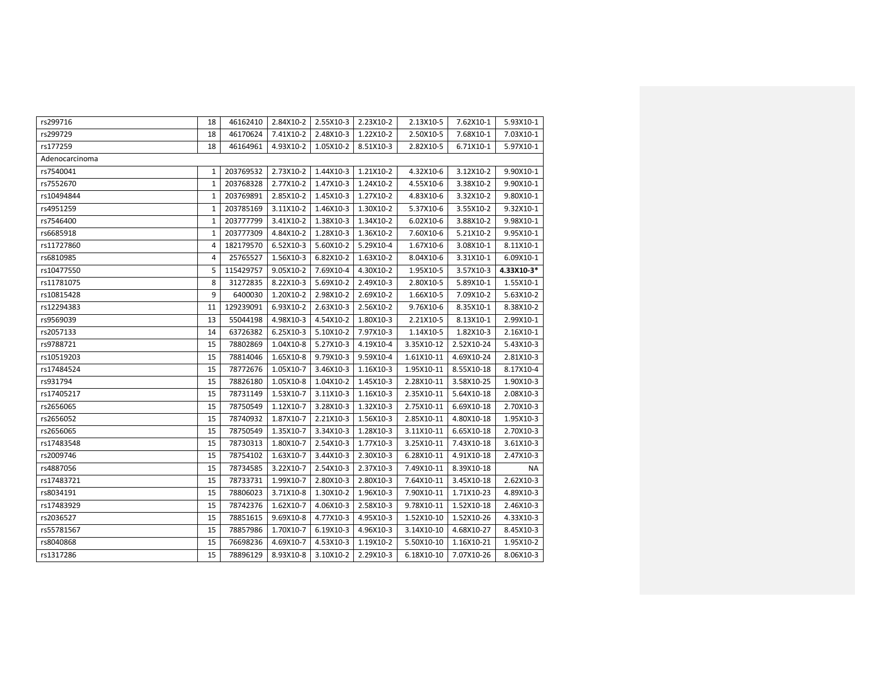| rs299716       | 18           | 46162410  | 2.84X10-2 | 2.55X10-3 | 2.23X10-2 | 2.13X10-5  | 7.62X10-1  | 5.93X10-1  |
|----------------|--------------|-----------|-----------|-----------|-----------|------------|------------|------------|
| rs299729       | 18           | 46170624  | 7.41X10-2 | 2.48X10-3 | 1.22X10-2 | 2.50X10-5  | 7.68X10-1  | 7.03X10-1  |
| rs177259       | 18           | 46164961  | 4.93X10-2 | 1.05X10-2 | 8.51X10-3 | 2.82X10-5  | 6.71X10-1  | 5.97X10-1  |
| Adenocarcinoma |              |           |           |           |           |            |            |            |
| rs7540041      | $\mathbf{1}$ | 203769532 | 2.73X10-2 | 1.44X10-3 | 1.21X10-2 | 4.32X10-6  | 3.12X10-2  | 9.90X10-1  |
| rs7552670      | $\mathbf{1}$ | 203768328 | 2.77X10-2 | 1.47X10-3 | 1.24X10-2 | 4.55X10-6  | 3.38X10-2  | 9.90X10-1  |
| rs10494844     | $\mathbf{1}$ | 203769891 | 2.85X10-2 | 1.45X10-3 | 1.27X10-2 | 4.83X10-6  | 3.32X10-2  | 9.80X10-1  |
| rs4951259      | $\mathbf{1}$ | 203785169 | 3.11X10-2 | 1.46X10-3 | 1.30X10-2 | 5.37X10-6  | 3.55X10-2  | 9.32X10-1  |
| rs7546400      | $\mathbf{1}$ | 203777799 | 3.41X10-2 | 1.38X10-3 | 1.34X10-2 | 6.02X10-6  | 3.88X10-2  | 9.98X10-1  |
| rs6685918      | $1\,$        | 203777309 | 4.84X10-2 | 1.28X10-3 | 1.36X10-2 | 7.60X10-6  | 5.21X10-2  | 9.95X10-1  |
| rs11727860     | 4            | 182179570 | 6.52X10-3 | 5.60X10-2 | 5.29X10-4 | 1.67X10-6  | 3.08X10-1  | 8.11X10-1  |
| rs6810985      | 4            | 25765527  | 1.56X10-3 | 6.82X10-2 | 1.63X10-2 | 8.04X10-6  | 3.31X10-1  | 6.09X10-1  |
| rs10477550     | 5            | 115429757 | 9.05X10-2 | 7.69X10-4 | 4.30X10-2 | 1.95X10-5  | 3.57X10-3  | 4.33X10-3* |
| rs11781075     | 8            | 31272835  | 8.22X10-3 | 5.69X10-2 | 2.49X10-3 | 2.80X10-5  | 5.89X10-1  | 1.55X10-1  |
| rs10815428     | 9            | 6400030   | 1.20X10-2 | 2.98X10-2 | 2.69X10-2 | 1.66X10-5  | 7.09X10-2  | 5.63X10-2  |
| rs12294383     | 11           | 129239091 | 6.93X10-2 | 2.63X10-3 | 2.56X10-2 | 9.76X10-6  | 8.35X10-1  | 8.38X10-2  |
| rs9569039      | 13           | 55044198  | 4.98X10-3 | 4.54X10-2 | 1.80X10-3 | 2.21X10-5  | 8.13X10-1  | 2.99X10-1  |
| rs2057133      | 14           | 63726382  | 6.25X10-3 | 5.10X10-2 | 7.97X10-3 | 1.14X10-5  | 1.82X10-3  | 2.16X10-1  |
| rs9788721      | 15           | 78802869  | 1.04X10-8 | 5.27X10-3 | 4.19X10-4 | 3.35X10-12 | 2.52X10-24 | 5.43X10-3  |
| rs10519203     | 15           | 78814046  | 1.65X10-8 | 9.79X10-3 | 9.59X10-4 | 1.61X10-11 | 4.69X10-24 | 2.81X10-3  |
| rs17484524     | 15           | 78772676  | 1.05X10-7 | 3.46X10-3 | 1.16X10-3 | 1.95X10-11 | 8.55X10-18 | 8.17X10-4  |
| rs931794       | 15           | 78826180  | 1.05X10-8 | 1.04X10-2 | 1.45X10-3 | 2.28X10-11 | 3.58X10-25 | 1.90X10-3  |
| rs17405217     | 15           | 78731149  | 1.53X10-7 | 3.11X10-3 | 1.16X10-3 | 2.35X10-11 | 5.64X10-18 | 2.08X10-3  |
| rs2656065      | 15           | 78750549  | 1.12X10-7 | 3.28X10-3 | 1.32X10-3 | 2.75X10-11 | 6.69X10-18 | 2.70X10-3  |
| rs2656052      | 15           | 78740932  | 1.87X10-7 | 2.21X10-3 | 1.56X10-3 | 2.85X10-11 | 4.80X10-18 | 1.95X10-3  |
| rs2656065      | 15           | 78750549  | 1.35X10-7 | 3.34X10-3 | 1.28X10-3 | 3.11X10-11 | 6.65X10-18 | 2.70X10-3  |
| rs17483548     | 15           | 78730313  | 1.80X10-7 | 2.54X10-3 | 1.77X10-3 | 3.25X10-11 | 7.43X10-18 | 3.61X10-3  |
| rs2009746      | 15           | 78754102  | 1.63X10-7 | 3.44X10-3 | 2.30X10-3 | 6.28X10-11 | 4.91X10-18 | 2.47X10-3  |
| rs4887056      | 15           | 78734585  | 3.22X10-7 | 2.54X10-3 | 2.37X10-3 | 7.49X10-11 | 8.39X10-18 | <b>NA</b>  |
| rs17483721     | 15           | 78733731  | 1.99X10-7 | 2.80X10-3 | 2.80X10-3 | 7.64X10-11 | 3.45X10-18 | 2.62X10-3  |
| rs8034191      | 15           | 78806023  | 3.71X10-8 | 1.30X10-2 | 1.96X10-3 | 7.90X10-11 | 1.71X10-23 | 4.89X10-3  |
| rs17483929     | 15           | 78742376  | 1.62X10-7 | 4.06X10-3 | 2.58X10-3 | 9.78X10-11 | 1.52X10-18 | 2.46X10-3  |
| rs2036527      | 15           | 78851615  | 9.69X10-8 | 4.77X10-3 | 4.95X10-3 | 1.52X10-10 | 1.52X10-26 | 4.33X10-3  |
| rs55781567     | 15           | 78857986  | 1.70X10-7 | 6.19X10-3 | 4.96X10-3 | 3.14X10-10 | 4.68X10-27 | 8.45X10-3  |
| rs8040868      | 15           | 76698236  | 4.69X10-7 | 4.53X10-3 | 1.19X10-2 | 5.50X10-10 | 1.16X10-21 | 1.95X10-2  |
| rs1317286      | 15           | 78896129  | 8.93X10-8 | 3.10X10-2 | 2.29X10-3 | 6.18X10-10 | 7.07X10-26 | 8.06X10-3  |
|                |              |           |           |           |           |            |            |            |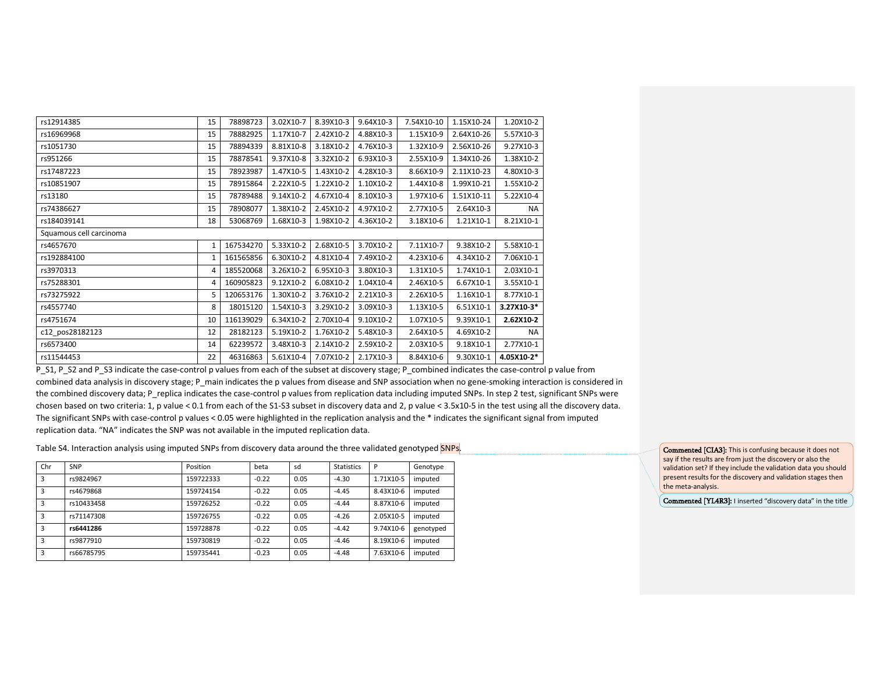| rs12914385              | 15           | 78898723  | 3.02X10-7 | 8.39X10-3 | 9.64X10-3 | 7.54X10-10 | 1.15X10-24 | 1.20X10-2  |
|-------------------------|--------------|-----------|-----------|-----------|-----------|------------|------------|------------|
| rs16969968              | 15           | 78882925  | 1.17X10-7 | 2.42X10-2 | 4.88X10-3 | 1.15X10-9  | 2.64X10-26 | 5.57X10-3  |
| rs1051730               | 15           | 78894339  | 8.81X10-8 | 3.18X10-2 | 4.76X10-3 | 1.32X10-9  | 2.56X10-26 | 9.27X10-3  |
| rs951266                | 15           | 78878541  | 9.37X10-8 | 3.32X10-2 | 6.93X10-3 | 2.55X10-9  | 1.34X10-26 | 1.38X10-2  |
| rs17487223              | 15           | 78923987  | 1.47X10-5 | 1.43X10-2 | 4.28X10-3 | 8.66X10-9  | 2.11X10-23 | 4.80X10-3  |
| rs10851907              | 15           | 78915864  | 2.22X10-5 | 1.22X10-2 | 1.10X10-2 | 1.44X10-8  | 1.99X10-21 | 1.55X10-2  |
| rs13180                 | 15           | 78789488  | 9.14X10-2 | 4.67X10-4 | 8.10X10-3 | 1.97X10-6  | 1.51X10-11 | 5.22X10-4  |
| rs74386627              | 15           | 78908077  | 1.38X10-2 | 2.45X10-2 | 4.97X10-2 | 2.77X10-5  | 2.64X10-3  | NA         |
| rs184039141             | 18           | 53068769  | 1.68X10-3 | 1.98X10-2 | 4.36X10-2 | 3.18X10-6  | 1.21X10-1  | 8.21X10-1  |
| Squamous cell carcinoma |              |           |           |           |           |            |            |            |
| rs4657670               | $\mathbf{1}$ | 167534270 | 5.33X10-2 | 2.68X10-5 | 3.70X10-2 | 7.11X10-7  | 9.38X10-2  | 5.58X10-1  |
| rs192884100             | 1            | 161565856 | 6.30X10-2 | 4.81X10-4 | 7.49X10-2 | 4.23X10-6  | 4.34X10-2  | 7.06X10-1  |
| rs3970313               | 4            | 185520068 | 3.26X10-2 | 6.95X10-3 | 3.80X10-3 | 1.31X10-5  | 1.74X10-1  | 2.03X10-1  |
| rs75288301              | 4            | 160905823 | 9.12X10-2 | 6.08X10-2 | 1.04X10-4 | 2.46X10-5  | 6.67X10-1  | 3.55X10-1  |
| rs73275922              | 5            | 120653176 | 1.30X10-2 | 3.76X10-2 | 2.21X10-3 | 2.26X10-5  | 1.16X10-1  | 8.77X10-1  |
| rs4557740               | 8            | 18015120  | 1.54X10-3 | 3.29X10-2 | 3.09X10-3 | 1.13X10-5  | 6.51X10-1  | 3.27X10-3* |
| rs4751674               | 10           | 116139029 | 6.34X10-2 | 2.70X10-4 | 9.10X10-2 | 1.07X10-5  | 9.39X10-1  | 2.62X10-2  |
| c12 pos28182123         | 12           | 28182123  | 5.19X10-2 | 1.76X10-2 | 5.48X10-3 | 2.64X10-5  | 4.69X10-2  | NA         |
| rs6573400               | 14           | 62239572  | 3.48X10-3 | 2.14X10-2 | 2.59X10-2 | 2.03X10-5  | 9.18X10-1  | 2.77X10-1  |
| rs11544453              | 22           | 46316863  | 5.61X10-4 | 7.07X10-2 | 2.17X10-3 | 8.84X10-6  | 9.30X10-1  | 4.05X10-2* |

P\_S1, P\_S2 and P\_S3 indicate the case-control p values from each of the subset at discovery stage; P\_combined indicates the case-control p value from combined data analysis in discovery stage; P\_main indicates the p values from disease and SNP association when no gene-smoking interaction is considered in the combined discovery data; P\_replica indicates the case-control p values from replication data including imputed SNPs. In step 2 test, significant SNPs were chosen based on two criteria: 1, p value < 0.1 from each of the S1-S3 subset in discovery data and 2, p value < 3.5x10-5 in the test using all the discovery data. The significant SNPs with case-control p values < 0.05 were highlighted in the replication analysis and the \* indicates the significant signal from imputed replication data. "NA" indicates the SNP was not available in the imputed replication data.

Table S4. Interaction analysis using imputed SNPs from discovery data around the three validated genotyped SNPs.

| Chr | SNP        | Position  | beta    | sd   | <b>Statistics</b> | P         | Genotype  |
|-----|------------|-----------|---------|------|-------------------|-----------|-----------|
| 3   | rs9824967  | 159722333 | $-0.22$ | 0.05 | $-4.30$           | 1.71X10-5 | imputed   |
| 3   | rs4679868  | 159724154 | $-0.22$ | 0.05 | $-4.45$           | 8.43X10-6 | imputed   |
| 3   | rs10433458 | 159726252 | $-0.22$ | 0.05 | $-4.44$           | 8.87X10-6 | imputed   |
| 3   | rs71147308 | 159726755 | $-0.22$ | 0.05 | $-4.26$           | 2.05X10-5 | imputed   |
| 3   | rs6441286  | 159728878 | $-0.22$ | 0.05 | $-4.42$           | 9.74X10-6 | genotyped |
| 3   | rs9877910  | 159730819 | $-0.22$ | 0.05 | $-4.46$           | 8.19X10-6 | imputed   |
| 3   | rs66785795 | 159735441 | $-0.23$ | 0.05 | $-4.48$           | 7.63X10-6 | imputed   |
|     |            |           |         |      |                   |           |           |

Commented [CIA3]: This is confusing because it does not say if the results are from just the discovery or also the validation set? If they include the validation data you should present results for the discovery and validation stages then the meta-analysis.

Commented [YL4R3]: I inserted "discovery data" in the title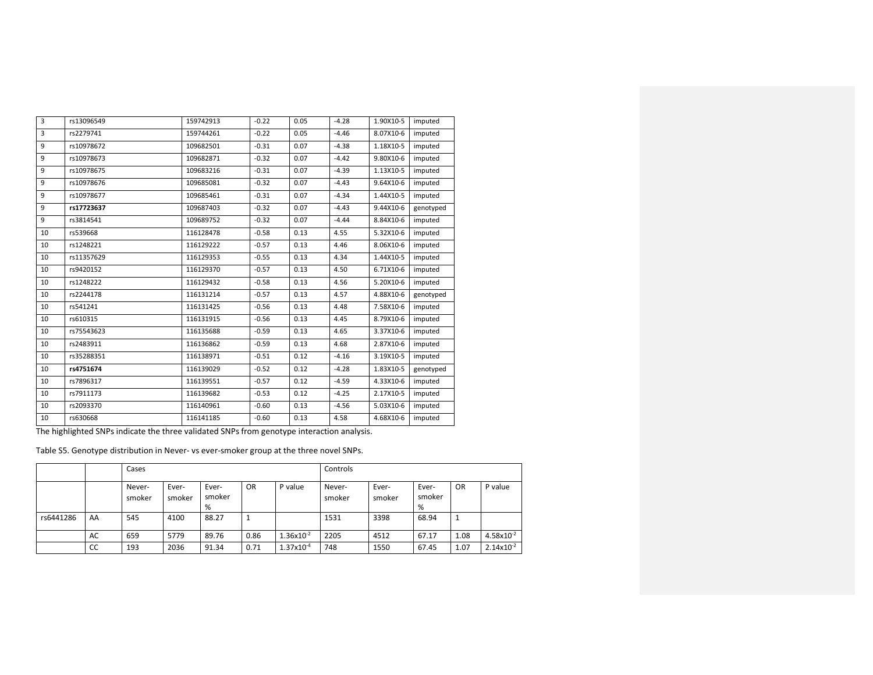| 3  | rs13096549 | 159742913 | $-0.22$ | 0.05 | $-4.28$ | 1.90X10-5 | imputed   |
|----|------------|-----------|---------|------|---------|-----------|-----------|
| 3  | rs2279741  | 159744261 | $-0.22$ | 0.05 | $-4.46$ | 8.07X10-6 | imputed   |
| 9  | rs10978672 | 109682501 | $-0.31$ | 0.07 | $-4.38$ | 1.18X10-5 | imputed   |
| 9  | rs10978673 | 109682871 | $-0.32$ | 0.07 | $-4.42$ | 9.80X10-6 | imputed   |
| 9  | rs10978675 | 109683216 | $-0.31$ | 0.07 | $-4.39$ | 1.13X10-5 | imputed   |
| 9  | rs10978676 | 109685081 | $-0.32$ | 0.07 | $-4.43$ | 9.64X10-6 | imputed   |
| 9  | rs10978677 | 109685461 | $-0.31$ | 0.07 | $-4.34$ | 1.44X10-5 | imputed   |
| 9  | rs17723637 | 109687403 | $-0.32$ | 0.07 | $-4.43$ | 9.44X10-6 | genotyped |
| 9  | rs3814541  | 109689752 | $-0.32$ | 0.07 | $-4.44$ | 8.84X10-6 | imputed   |
| 10 | rs539668   | 116128478 | $-0.58$ | 0.13 | 4.55    | 5.32X10-6 | imputed   |
| 10 | rs1248221  | 116129222 | $-0.57$ | 0.13 | 4.46    | 8.06X10-6 | imputed   |
| 10 | rs11357629 | 116129353 | $-0.55$ | 0.13 | 4.34    | 1.44X10-5 | imputed   |
| 10 | rs9420152  | 116129370 | $-0.57$ | 0.13 | 4.50    | 6.71X10-6 | imputed   |
| 10 | rs1248222  | 116129432 | $-0.58$ | 0.13 | 4.56    | 5.20X10-6 | imputed   |
| 10 | rs2244178  | 116131214 | $-0.57$ | 0.13 | 4.57    | 4.88X10-6 | genotyped |
| 10 | rs541241   | 116131425 | $-0.56$ | 0.13 | 4.48    | 7.58X10-6 | imputed   |
| 10 | rs610315   | 116131915 | $-0.56$ | 0.13 | 4.45    | 8.79X10-6 | imputed   |
| 10 | rs75543623 | 116135688 | $-0.59$ | 0.13 | 4.65    | 3.37X10-6 | imputed   |
| 10 | rs2483911  | 116136862 | $-0.59$ | 0.13 | 4.68    | 2.87X10-6 | imputed   |
| 10 | rs35288351 | 116138971 | $-0.51$ | 0.12 | $-4.16$ | 3.19X10-5 | imputed   |
| 10 | rs4751674  | 116139029 | $-0.52$ | 0.12 | $-4.28$ | 1.83X10-5 | genotyped |
| 10 | rs7896317  | 116139551 | $-0.57$ | 0.12 | $-4.59$ | 4.33X10-6 | imputed   |
| 10 | rs7911173  | 116139682 | $-0.53$ | 0.12 | $-4.25$ | 2.17X10-5 | imputed   |
| 10 | rs2093370  | 116140961 | $-0.60$ | 0.13 | $-4.56$ | 5.03X10-6 | imputed   |
| 10 | rs630668   | 116141185 | $-0.60$ | 0.13 | 4.58    | 4.68X10-6 | imputed   |

The highlighted SNPs indicate the three validated SNPs from genotype interaction analysis.

Table S5. Genotype distribution in Never- vs ever-smoker group at the three novel SNPs.

|           |    | Cases            |                 |                      |           |                     | Controls         |                 |                      |           |                       |
|-----------|----|------------------|-----------------|----------------------|-----------|---------------------|------------------|-----------------|----------------------|-----------|-----------------------|
|           |    | Never-<br>smoker | Ever-<br>smoker | Ever-<br>smoker<br>% | <b>OR</b> | P value             | Never-<br>smoker | Ever-<br>smoker | Ever-<br>smoker<br>% | <b>OR</b> | P value               |
| rs6441286 | AA | 545              | 4100            | 88.27                | 1         |                     | 1531             | 3398            | 68.94                |           |                       |
|           | AC | 659              | 5779            | 89.76                | 0.86      | $1.36x10^{-2}$      | 2205             | 4512            | 67.17                | 1.08      | $4.58\times10^{-2}$   |
|           | CC | 193              | 2036            | 91.34                | 0.71      | $1.37\times10^{-4}$ | 748              | 1550            | 67.45                | 1.07      | $2.14 \times 10^{-2}$ |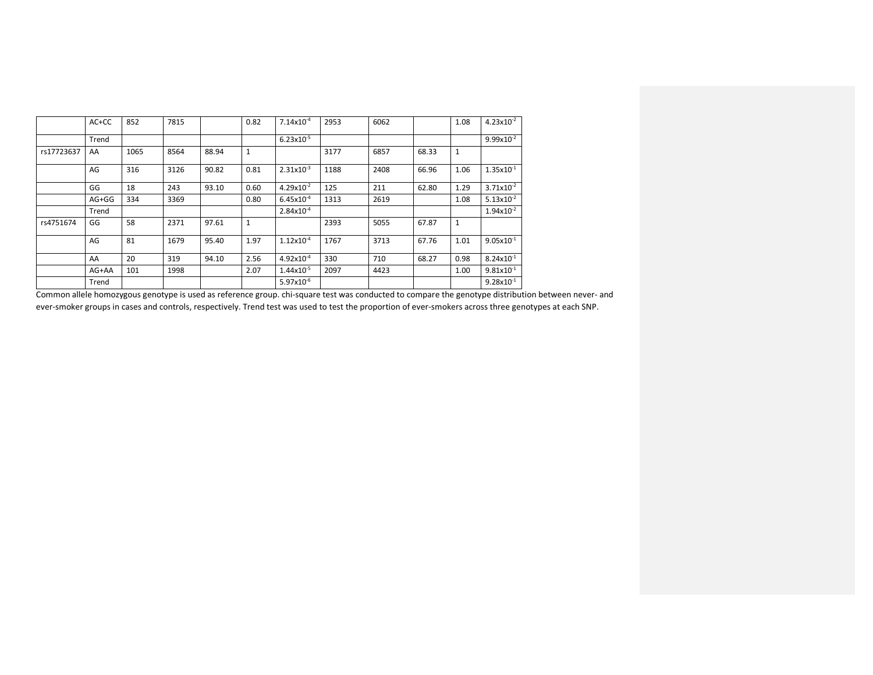|            | AC+CC | 852  | 7815 |       | 0.82         | $7.14 \times 10^{-4}$ | 2953 | 6062 |       | 1.08         | $4.23 \times 10^{-2}$ |
|------------|-------|------|------|-------|--------------|-----------------------|------|------|-------|--------------|-----------------------|
|            | Trend |      |      |       |              | $6.23 \times 10^{-5}$ |      |      |       |              | $9.99 \times 10^{-2}$ |
| rs17723637 | AA    | 1065 | 8564 | 88.94 | $\mathbf{1}$ |                       | 3177 | 6857 | 68.33 | $\mathbf{1}$ |                       |
|            | AG    | 316  | 3126 | 90.82 | 0.81         | $2.31 \times 10^{-3}$ | 1188 | 2408 | 66.96 | 1.06         | $1.35x10^{-1}$        |
|            | GG    | 18   | 243  | 93.10 | 0.60         | $4.29x10^{-2}$        | 125  | 211  | 62.80 | 1.29         | $3.71 \times 10^{-2}$ |
|            | AG+GG | 334  | 3369 |       | 0.80         | $6.45x10^{-4}$        | 1313 | 2619 |       | 1.08         | $5.13 \times 10^{-2}$ |
|            | Trend |      |      |       |              | $2.84 \times 10^{-4}$ |      |      |       |              | $1.94x10^{-2}$        |
| rs4751674  | GG    | 58   | 2371 | 97.61 | $\mathbf{1}$ |                       | 2393 | 5055 | 67.87 | $\mathbf{1}$ |                       |
|            | AG    | 81   | 1679 | 95.40 | 1.97         | $1.12\times10^{-4}$   | 1767 | 3713 | 67.76 | 1.01         | $9.05 \times 10^{-1}$ |
|            | AA    | 20   | 319  | 94.10 | 2.56         | $4.92\times10^{-4}$   | 330  | 710  | 68.27 | 0.98         | $8.24 \times 10^{-1}$ |
|            | AG+AA | 101  | 1998 |       | 2.07         | $1.44 \times 10^{-5}$ | 2097 | 4423 |       | 1.00         | $9.81 \times 10^{-1}$ |
|            | Trend |      |      |       |              | $5.97x10^{-6}$        |      |      |       |              | $9.28 \times 10^{-1}$ |

Common allele homozygous genotype is used as reference group. chi-square test was conducted to compare the genotype distribution between never- and ever-smoker groups in cases and controls, respectively. Trend test was used to test the proportion of ever-smokers across three genotypes at each SNP.